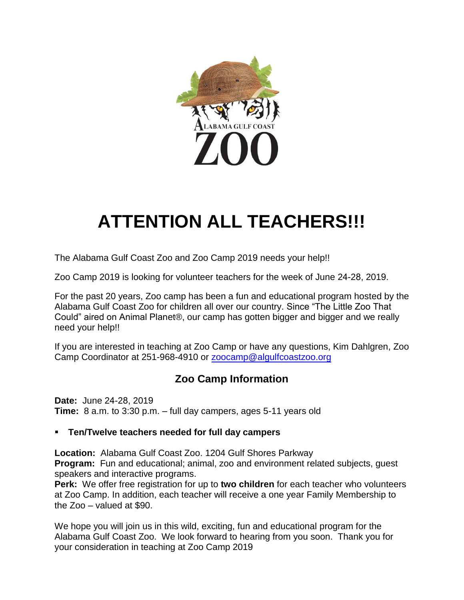

## **ATTENTION ALL TEACHERS!!!**

The Alabama Gulf Coast Zoo and Zoo Camp 2019 needs your help!!

Zoo Camp 2019 is looking for volunteer teachers for the week of June 24-28, 2019.

For the past 20 years, Zoo camp has been a fun and educational program hosted by the Alabama Gulf Coast Zoo for children all over our country. Since "The Little Zoo That Could" aired on Animal Planet®, our camp has gotten bigger and bigger and we really need your help!!

If you are interested in teaching at Zoo Camp or have any questions, Kim Dahlgren, Zoo Camp Coordinator at 251-968-4910 or [zoocamp@algulfcoastzoo.org](mailto:zoocamp@algulfcoastzoo.org)

## **Zoo Camp Information**

**Date:** June 24-28, 2019 **Time:** 8 a.m. to 3:30 p.m. – full day campers, ages 5-11 years old

## **Ten/Twelve teachers needed for full day campers**

**Location:** Alabama Gulf Coast Zoo. 1204 Gulf Shores Parkway **Program:** Fun and educational; animal, zoo and environment related subjects, guest speakers and interactive programs.

**Perk:** We offer free registration for up to **two children** for each teacher who volunteers at Zoo Camp. In addition, each teacher will receive a one year Family Membership to the Zoo – valued at \$90.

We hope you will join us in this wild, exciting, fun and educational program for the Alabama Gulf Coast Zoo. We look forward to hearing from you soon. Thank you for your consideration in teaching at Zoo Camp 2019